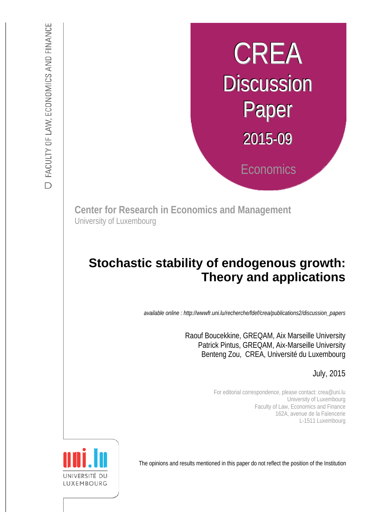# CREA **Discussion** Paper 2015-09 **Economics**

**Center for Research in Economics and Management** University of Luxembourg

# :s *def.uni.lu/index.php/fdef\_FR/economie/crea*  **Theory and applications Stochastic stability of endogenous growth:**

*available online : http://wwwfr.uni.lu/recherche/fdef/crea/publications2/discussion\_papers* 

 Patrick Pintus, GREQAM, Aix-Marseille University Raouf Boucekkine, GREQAM, Aix Marseille University Benteng Zou, CREA, Université du Luxembourg

July, 2015

For editorial correspondence, please contact: crea@uni.lu University of Luxembourg Faculty of Law, Economics and Finance 162A, avenue de la Faïencerie L-1511 Luxembourg

The opinions and results mentioned in this paper do not reflect the position of the Institution

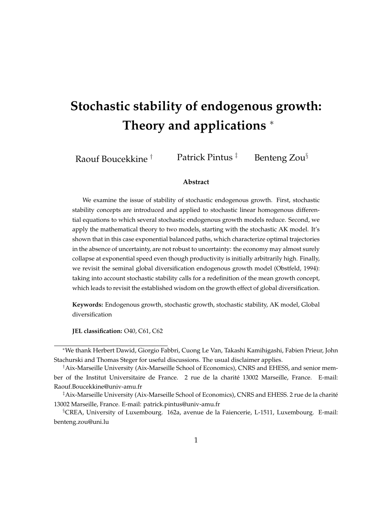# **Stochastic stability of endogenous growth: Theory and applications** *<sup>∗</sup>*

Raouf Boucekkine *†* Patrick Pintus *‡* Benteng Zou*§*

#### **Abstract**

We examine the issue of stability of stochastic endogenous growth. First, stochastic stability concepts are introduced and applied to stochastic linear homogenous differential equations to which several stochastic endogenous growth models reduce. Second, we apply the mathematical theory to two models, starting with the stochastic AK model. It's shown that in this case exponential balanced paths, which characterize optimal trajectories in the absence of uncertainty, are not robust to uncertainty: the economy may almost surely collapse at exponential speed even though productivity is initially arbitrarily high. Finally, we revisit the seminal global diversification endogenous growth model (Obstfeld, 1994): taking into account stochastic stability calls for a redefinition of the mean growth concept, which leads to revisit the established wisdom on the growth effect of global diversification.

**Keywords:** Endogenous growth, stochastic growth, stochastic stability, AK model, Global diversification

**JEL classification:** O40, C61, C62

*<sup>∗</sup>*We thank Herbert Dawid, Giorgio Fabbri, Cuong Le Van, Takashi Kamihigashi, Fabien Prieur, John Stachurski and Thomas Steger for useful discussions. The usual disclaimer applies.

*<sup>†</sup>*Aix-Marseille University (Aix-Marseille School of Economics), CNRS and EHESS, and senior member of the Institut Universitaire de France. 2 rue de la charite 13002 Marseille, France. E-mail: ´ Raouf.Boucekkine@univ-amu.fr

*<sup>‡</sup>*Aix-Marseille University (Aix-Marseille School of Economics), CNRS and EHESS. 2 rue de la charite´ 13002 Marseille, France. E-mail: patrick.pintus@univ-amu.fr

*<sup>§</sup>*CREA, University of Luxembourg. 162a, avenue de la Faiencerie, L-1511, Luxembourg. E-mail: benteng.zou@uni.lu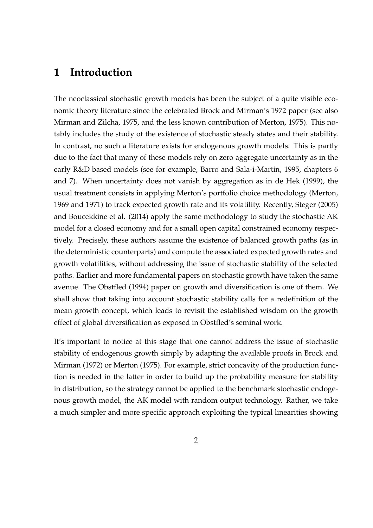### **1 Introduction**

The neoclassical stochastic growth models has been the subject of a quite visible economic theory literature since the celebrated Brock and Mirman's 1972 paper (see also Mirman and Zilcha, 1975, and the less known contribution of Merton, 1975). This notably includes the study of the existence of stochastic steady states and their stability. In contrast, no such a literature exists for endogenous growth models. This is partly due to the fact that many of these models rely on zero aggregate uncertainty as in the early R&D based models (see for example, Barro and Sala-i-Martin, 1995, chapters 6 and 7). When uncertainty does not vanish by aggregation as in de Hek (1999), the usual treatment consists in applying Merton's portfolio choice methodology (Merton, 1969 and 1971) to track expected growth rate and its volatility. Recently, Steger (2005) and Boucekkine et al. (2014) apply the same methodology to study the stochastic AK model for a closed economy and for a small open capital constrained economy respectively. Precisely, these authors assume the existence of balanced growth paths (as in the deterministic counterparts) and compute the associated expected growth rates and growth volatilities, without addressing the issue of stochastic stability of the selected paths. Earlier and more fundamental papers on stochastic growth have taken the same avenue. The Obstfled (1994) paper on growth and diversification is one of them. We shall show that taking into account stochastic stability calls for a redefinition of the mean growth concept, which leads to revisit the established wisdom on the growth effect of global diversification as exposed in Obstfled's seminal work.

It's important to notice at this stage that one cannot address the issue of stochastic stability of endogenous growth simply by adapting the available proofs in Brock and Mirman (1972) or Merton (1975). For example, strict concavity of the production function is needed in the latter in order to build up the probability measure for stability in distribution, so the strategy cannot be applied to the benchmark stochastic endogenous growth model, the AK model with random output technology. Rather, we take a much simpler and more specific approach exploiting the typical linearities showing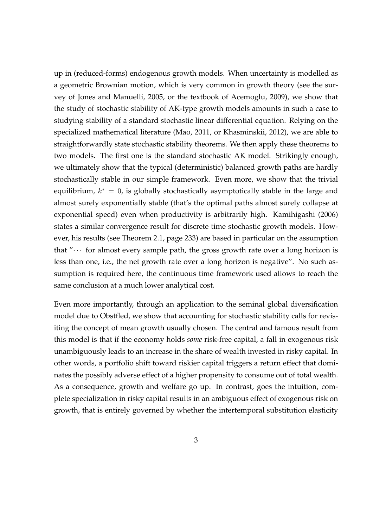up in (reduced-forms) endogenous growth models. When uncertainty is modelled as a geometric Brownian motion, which is very common in growth theory (see the survey of Jones and Manuelli, 2005, or the textbook of Acemoglu, 2009), we show that the study of stochastic stability of AK-type growth models amounts in such a case to studying stability of a standard stochastic linear differential equation. Relying on the specialized mathematical literature (Mao, 2011, or Khasminskii, 2012), we are able to straightforwardly state stochastic stability theorems. We then apply these theorems to two models. The first one is the standard stochastic AK model. Strikingly enough, we ultimately show that the typical (deterministic) balanced growth paths are hardly stochastically stable in our simple framework. Even more, we show that the trivial equilibrium, *k <sup>∗</sup>* = 0, is globally stochastically asymptotically stable in the large and almost surely exponentially stable (that's the optimal paths almost surely collapse at exponential speed) even when productivity is arbitrarily high. Kamihigashi (2006) states a similar convergence result for discrete time stochastic growth models. However, his results (see Theorem 2.1, page 233) are based in particular on the assumption that " $\cdots$  for almost every sample path, the gross growth rate over a long horizon is less than one, i.e., the net growth rate over a long horizon is negative". No such assumption is required here, the continuous time framework used allows to reach the same conclusion at a much lower analytical cost.

Even more importantly, through an application to the seminal global diversification model due to Obstfled, we show that accounting for stochastic stability calls for revisiting the concept of mean growth usually chosen. The central and famous result from this model is that if the economy holds *some* risk-free capital, a fall in exogenous risk unambiguously leads to an increase in the share of wealth invested in risky capital. In other words, a portfolio shift toward riskier capital triggers a return effect that dominates the possibly adverse effect of a higher propensity to consume out of total wealth. As a consequence, growth and welfare go up. In contrast, goes the intuition, complete specialization in risky capital results in an ambiguous effect of exogenous risk on growth, that is entirely governed by whether the intertemporal substitution elasticity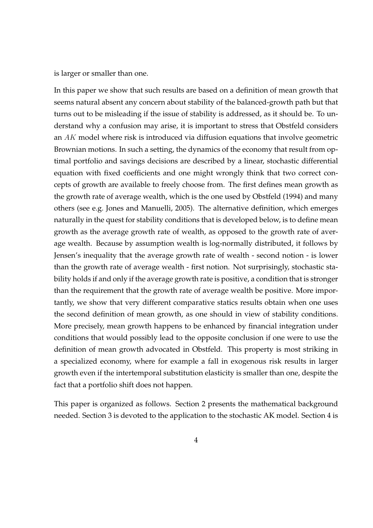is larger or smaller than one.

In this paper we show that such results are based on a definition of mean growth that seems natural absent any concern about stability of the balanced-growth path but that turns out to be misleading if the issue of stability is addressed, as it should be. To understand why a confusion may arise, it is important to stress that Obstfeld considers an *AK* model where risk is introduced via diffusion equations that involve geometric Brownian motions. In such a setting, the dynamics of the economy that result from optimal portfolio and savings decisions are described by a linear, stochastic differential equation with fixed coefficients and one might wrongly think that two correct concepts of growth are available to freely choose from. The first defines mean growth as the growth rate of average wealth, which is the one used by Obstfeld (1994) and many others (see e.g. Jones and Manuelli, 2005). The alternative definition, which emerges naturally in the quest for stability conditions that is developed below, is to define mean growth as the average growth rate of wealth, as opposed to the growth rate of average wealth. Because by assumption wealth is log-normally distributed, it follows by Jensen's inequality that the average growth rate of wealth - second notion - is lower than the growth rate of average wealth - first notion. Not surprisingly, stochastic stability holds if and only if the average growth rate is positive, a condition that is stronger than the requirement that the growth rate of average wealth be positive. More importantly, we show that very different comparative statics results obtain when one uses the second definition of mean growth, as one should in view of stability conditions. More precisely, mean growth happens to be enhanced by financial integration under conditions that would possibly lead to the opposite conclusion if one were to use the definition of mean growth advocated in Obstfeld. This property is most striking in a specialized economy, where for example a fall in exogenous risk results in larger growth even if the intertemporal substitution elasticity is smaller than one, despite the fact that a portfolio shift does not happen.

This paper is organized as follows. Section 2 presents the mathematical background needed. Section 3 is devoted to the application to the stochastic AK model. Section 4 is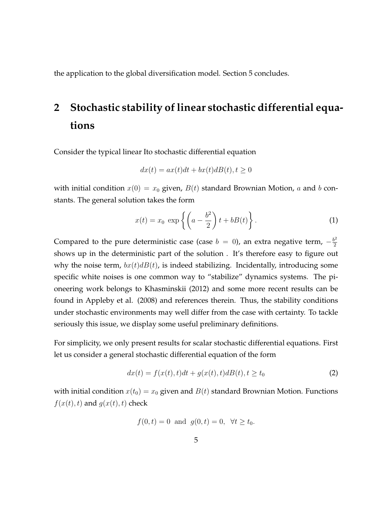the application to the global diversification model. Section 5 concludes.

# **2 Stochastic stability of linear stochastic differential equations**

Consider the typical linear Ito stochastic differential equation

$$
dx(t) = ax(t)dt + bx(t)dB(t), t \ge 0
$$

with initial condition  $x(0) = x_0$  given,  $B(t)$  standard Brownian Motion, *a* and *b* constants. The general solution takes the form

$$
x(t) = x_0 \exp\left\{ \left( a - \frac{b^2}{2} \right) t + bB(t) \right\}.
$$
 (1)

Compared to the pure deterministic case (case  $b = 0$ ), an extra negative term,  $-\frac{b^2}{2}$ 2 shows up in the deterministic part of the solution . It's therefore easy to figure out why the noise term,  $bx(t)dB(t)$ , is indeed stabilizing. Incidentally, introducing some specific white noises is one common way to "stabilize" dynamics systems. The pioneering work belongs to Khasminskii (2012) and some more recent results can be found in Appleby et al. (2008) and references therein. Thus, the stability conditions under stochastic environments may well differ from the case with certainty. To tackle seriously this issue, we display some useful preliminary definitions.

For simplicity, we only present results for scalar stochastic differential equations. First let us consider a general stochastic differential equation of the form

$$
dx(t) = f(x(t), t)dt + g(x(t), t)dB(t), t \ge t_0
$$
\n(2)

with initial condition  $x(t_0) = x_0$  given and  $B(t)$  standard Brownian Motion. Functions  $f(x(t), t)$  and  $g(x(t), t)$  check

$$
f(0,t) = 0
$$
 and  $g(0,t) = 0$ ,  $\forall t \ge t_0$ .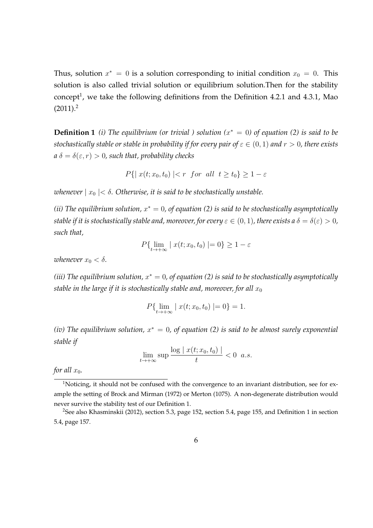Thus, solution  $x^* = 0$  is a solution corresponding to initial condition  $x_0 = 0$ . This solution is also called trivial solution or equilibrium solution.Then for the stability concept<sup>1</sup>, we take the following definitions from the Definition 4.2.1 and 4.3.1, Mao  $(2011).<sup>2</sup>$ 

**Definition 1** *(i)* The equilibrium (or trivial ) solution  $(x^* = 0)$  of equation (2) is said to be *stochastically stable or stable in probability if for every pair of*  $\varepsilon \in (0,1)$  *and*  $r > 0$ *, there exists*  $a \delta = \delta(\varepsilon, r) > 0$ , such that, probability checks

$$
P\{ | x(t; x_0, t_0) | < r \text{ for all } t \ge t_0 \} \ge 1 - \varepsilon
$$

*whenever*  $|x_0| < \delta$ . Otherwise, it is said to be stochastically unstable.

*(ii) The equilibrium solution, x <sup>∗</sup>* = 0*, of equation (2) is said to be stochastically asymptotically stable if it is stochastically stable and, moreover, for every*  $\varepsilon \in (0,1)$ , there exists a  $\delta = \delta(\varepsilon) > 0$ , *such that,*

$$
P\{\lim_{t\to+\infty} \mid x(t; x_0, t_0) \mid=0\} \ge 1-\varepsilon
$$

*whenever*  $x_0 < \delta$ *.* 

*(iii) The equilibrium solution, x <sup>∗</sup>* = 0*, of equation (2) is said to be stochastically asymptotically stable in the large if it is stochastically stable and, moreover, for all*  $x_0$ 

$$
P\{\lim_{t\to+\infty} | x(t; x_0, t_0) | = 0\} = 1.
$$

*(iv) The equilibrium solution, x <sup>∗</sup>* = 0*, of equation (2) is said to be almost surely exponential stable if*

$$
\lim_{t\to+\infty}\sup\frac{\log|x(t;x_0,t_0)|}{t}<0\ \ a.s.
$$

*for all*  $x_0$ *.* 

<sup>&</sup>lt;sup>1</sup>Noticing, it should not be confused with the convergence to an invariant distribution, see for example the setting of Brock and Mirman (1972) or Merton (1075). A non-degenerate distribution would never survive the stability test of our Definition 1.

<sup>2</sup>See also Khasminskii (2012), section 5.3, page 152, section 5.4, page 155, and Definition 1 in section 5.4, page 157.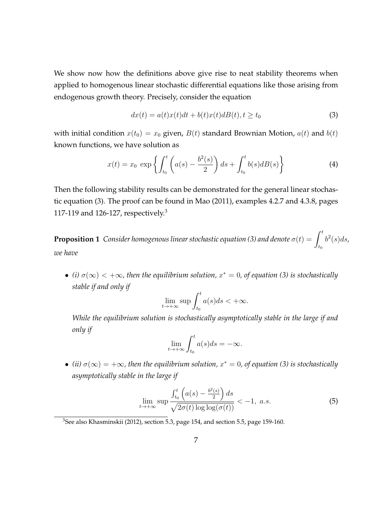We show now how the definitions above give rise to neat stability theorems when applied to homogenous linear stochastic differential equations like those arising from endogenous growth theory. Precisely, consider the equation

$$
dx(t) = a(t)x(t)dt + b(t)x(t)dB(t), t \ge t_0
$$
\n(3)

with initial condition  $x(t_0) = x_0$  given,  $B(t)$  standard Brownian Motion,  $a(t)$  and  $b(t)$ known functions, we have solution as

$$
x(t) = x_0 \exp\left\{ \int_{t_0}^t \left( a(s) - \frac{b^2(s)}{2} \right) ds + \int_{t_0}^t b(s) dB(s) \right\}
$$
 (4)

Then the following stability results can be demonstrated for the general linear stochastic equation (3). The proof can be found in Mao (2011), examples 4.2.7 and 4.3.8, pages 117-119 and 126-127, respectively.<sup>3</sup>

**Proposition 1** *Consider homogenous linear stochastic equation (3) and denote*  $\sigma(t) = \int_0^t$ *t*0  $b^2(s)ds$ , *we have*

 $\bullet$  (*i*)  $\sigma(\infty)$  < +∞, then the equilibrium solution,  $x^* = 0$ , of equation (3) is stochastically *stable if and only if*

$$
\lim_{t \to +\infty} \sup \int_{t_0}^t a(s)ds < +\infty.
$$

*While the equilibrium solution is stochastically asymptotically stable in the large if and only if*

$$
\lim_{t \to +\infty} \int_{t_0}^t a(s)ds = -\infty.
$$

 $\bullet$  (*ii*)  $\sigma(\infty) = +\infty$ , then the equilibrium solution,  $x^* = 0$ , of equation (3) is stochastically *asymptotically stable in the large if*

$$
\lim_{t \to +\infty} \sup \frac{\int_{t_0}^t \left( a(s) - \frac{b^2(s)}{2} \right) ds}{\sqrt{2\sigma(t) \log \log(\sigma(t))}} < -1, \ a.s. \tag{5}
$$

<sup>3</sup>See also Khasminskii (2012), section 5.3, page 154, and section 5.5, page 159-160.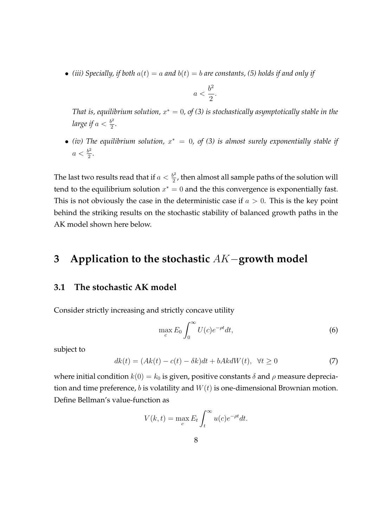• *(iii)* Specially, if both  $a(t) = a$  and  $b(t) = b$  are constants, (5) holds if and only if

$$
a < \frac{b^2}{2}.
$$

*That is, equilibrium solution, x <sup>∗</sup>* = 0*, of (3) is stochastically asymptotically stable in the large if*  $a < \frac{b^2}{2}$  $\frac{p^2}{2}$ .

*• (iv) The equilibrium solution, x <sup>∗</sup>* = 0*, of (3) is almost surely exponentially stable if*  $a < \frac{b^2}{2}$  $\frac{2}{2}$ .

The last two results read that if  $a < \frac{b^2}{2}$  $\frac{p^2}{2}$ , then almost all sample paths of the solution will tend to the equilibrium solution  $x^* = 0$  and the this convergence is exponentially fast. This is not obviously the case in the deterministic case if *a >* 0. This is the key point behind the striking results on the stochastic stability of balanced growth paths in the AK model shown here below.

## **3 Application to the stochastic** *AK−***growth model**

#### **3.1 The stochastic AK model**

Consider strictly increasing and strictly concave utility

$$
\max_{c} E_0 \int_0^\infty U(c)e^{-\rho t}dt,\tag{6}
$$

subject to

$$
dk(t) = (Ak(t) - c(t) - \delta k)dt + bAk dW(t), \quad \forall t \ge 0
$$
\n<sup>(7)</sup>

where initial condition  $k(0) = k_0$  is given, positive constants  $\delta$  and  $\rho$  measure depreciation and time preference, *b* is volatility and *W*(*t*) is one-dimensional Brownian motion. Define Bellman's value-function as

$$
V(k,t) = \max_{c} E_t \int_t^{\infty} u(c)e^{-\rho t} dt.
$$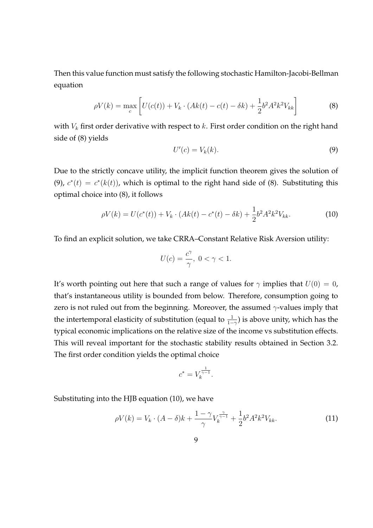Then this value function must satisfy the following stochastic Hamilton-Jacobi-Bellman equation

$$
\rho V(k) = \max_{c} \left[ U(c(t)) + V_k \cdot (Ak(t) - c(t) - \delta k) + \frac{1}{2} b^2 A^2 k^2 V_{kk} \right]
$$
(8)

with *V<sup>k</sup>* first order derivative with respect to *k*. First order condition on the right hand side of (8) yields

$$
U'(c) = V_k(k). \tag{9}
$$

Due to the strictly concave utility, the implicit function theorem gives the solution of (9),  $c^*(t) = c^*(k(t))$ , which is optimal to the right hand side of (8). Substituting this optimal choice into (8), it follows

$$
\rho V(k) = U(c^*(t)) + V_k \cdot (Ak(t) - c^*(t) - \delta k) + \frac{1}{2}b^2 A^2 k^2 V_{kk}.
$$
\n(10)

To find an explicit solution, we take CRRA–Constant Relative Risk Aversion utility:

$$
U(c) = \frac{c^{\gamma}}{\gamma}, \ 0 < \gamma < 1.
$$

It's worth pointing out here that such a range of values for  $\gamma$  implies that  $U(0) = 0$ , that's instantaneous utility is bounded from below. Therefore, consumption going to zero is not ruled out from the beginning. Moreover, the assumed *γ*-values imply that the intertemporal elasticity of substitution (equal to  $\frac{1}{1-\gamma}$ ) is above unity, which has the typical economic implications on the relative size of the income vs substitution effects. This will reveal important for the stochastic stability results obtained in Section 3.2. The first order condition yields the optimal choice

$$
c^* = V_k^{\frac{1}{\gamma - 1}}.
$$

Substituting into the HJB equation (10), we have

$$
\rho V(k) = V_k \cdot (A - \delta)k + \frac{1 - \gamma}{\gamma} V_k^{\frac{\gamma}{\gamma - 1}} + \frac{1}{2} b^2 A^2 k^2 V_{kk}.
$$
 (11)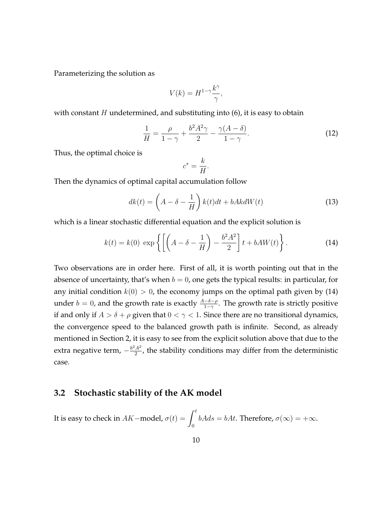Parameterizing the solution as

$$
V(k) = H^{1-\gamma} \frac{k^{\gamma}}{\gamma},
$$

with constant *H* undetermined, and substituting into (6), it is easy to obtain

$$
\frac{1}{H} = \frac{\rho}{1-\gamma} + \frac{b^2 A^2 \gamma}{2} - \frac{\gamma (A-\delta)}{1-\gamma}.
$$
\n(12)

Thus, the optimal choice is

$$
c^* = \frac{k}{H}.
$$

Then the dynamics of optimal capital accumulation follow

$$
dk(t) = \left(A - \delta - \frac{1}{H}\right)k(t)dt + bAkdW(t)
$$
\n(13)

which is a linear stochastic differential equation and the explicit solution is

$$
k(t) = k(0) \exp\left\{ \left[ \left( A - \delta - \frac{1}{H} \right) - \frac{b^2 A^2}{2} \right] t + b A W(t) \right\}.
$$
 (14)

Two observations are in order here. First of all, it is worth pointing out that in the absence of uncertainty, that's when  $b = 0$ , one gets the typical results: in particular, for any initial condition  $k(0) > 0$ , the economy jumps on the optimal path given by (14) under *b* = 0, and the growth rate is exactly  $\frac{A-\delta-\rho}{1-\gamma}$ . The growth rate is strictly positive if and only if  $A > \delta + \rho$  given that  $0 < \gamma < 1$ . Since there are no transitional dynamics, the convergence speed to the balanced growth path is infinite. Second, as already mentioned in Section 2, it is easy to see from the explicit solution above that due to the extra negative term,  $-\frac{b^2A^2}{2}$  $\frac{A^2}{2}$ , the stability conditions may differ from the deterministic case.

#### **3.2 Stochastic stability of the AK model**

It is easy to check in  $AK$ −model,  $\sigma(t) = \int^t$ 0  $bAds = bAt$ . Therefore,  $\sigma(\infty) = +\infty$ .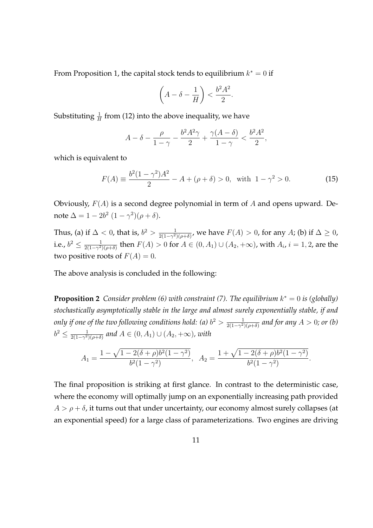From Proposition 1, the capital stock tends to equilibrium *k <sup>∗</sup>* = 0 if

$$
\left(A - \delta - \frac{1}{H}\right) < \frac{b^2 A^2}{2}.
$$

Substituting  $\frac{1}{H}$  from (12) into the above inequality, we have

$$
A-\delta-\frac{\rho}{1-\gamma}-\frac{b^2A^2\gamma}{2}+\frac{\gamma(A-\delta)}{1-\gamma}<\frac{b^2A^2}{2},
$$

which is equivalent to

$$
F(A) \equiv \frac{b^2(1 - \gamma^2)A^2}{2} - A + (\rho + \delta) > 0, \text{ with } 1 - \gamma^2 > 0.
$$
 (15)

Obviously, *F*(*A*) is a second degree polynomial in term of *A* and opens upward. Denote  $\Delta = 1 - 2b^2 (1 - \gamma^2)(\rho + \delta).$ 

Thus, (a) if  $\Delta < 0$ , that is,  $b^2 > \frac{1}{2(1-\gamma^2)}$  $\frac{1}{2(1-\gamma^2)(\rho+\delta)}$ , we have  $F(A) > 0$ , for any *A*; (b) if ∆ ≥ 0, i.e.,  $b^2 \leq \frac{1}{2(1-\gamma^2)}$  $\frac{1}{2(1-\gamma^2)(\rho+\delta)}$  then  $F(A) > 0$  for  $A \in (0, A_1) \cup (A_2, +\infty)$ , with  $A_i$ ,  $i = 1, 2$ , are the two positive roots of  $F(A) = 0$ .

The above analysis is concluded in the following:

**Proposition 2** Consider problem (6) with constraint (7). The equilibrium  $k^* = 0$  is (globally) *stochastically asymptotically stable in the large and almost surely exponentially stable, if and only if one of the two following conditions hold: (a)*  $b^2 > \frac{1}{2(1-\gamma^2)}$ 2(1*−γ* <sup>2</sup>)(*ρ*+*δ*) *and for any A >* 0*; or (b)*  $b^2 \leq \frac{1}{2(1-\gamma^2)}$  $\frac{1}{2(1-\gamma^2)(\rho+\delta)}$  and  $A \in (0, A_1) \cup (A_2, +∞)$ *, with* 

$$
A_1 = \frac{1 - \sqrt{1 - 2(\delta + \rho)b^2(1 - \gamma^2)}}{b^2(1 - \gamma^2)}, \quad A_2 = \frac{1 + \sqrt{1 - 2(\delta + \rho)b^2(1 - \gamma^2)}}{b^2(1 - \gamma^2)}.
$$

The final proposition is striking at first glance. In contrast to the deterministic case, where the economy will optimally jump on an exponentially increasing path provided  $A > \rho + \delta$ , it turns out that under uncertainty, our economy almost surely collapses (at an exponential speed) for a large class of parameterizations. Two engines are driving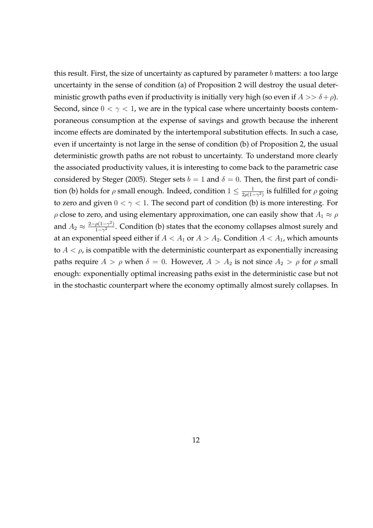this result. First, the size of uncertainty as captured by parameter *b* matters: a too large uncertainty in the sense of condition (a) of Proposition 2 will destroy the usual deterministic growth paths even if productivity is initially very high (so even if  $A >> \delta + \rho$ ). Second, since  $0 < \gamma < 1$ , we are in the typical case where uncertainty boosts contemporaneous consumption at the expense of savings and growth because the inherent income effects are dominated by the intertemporal substitution effects. In such a case, even if uncertainty is not large in the sense of condition (b) of Proposition 2, the usual deterministic growth paths are not robust to uncertainty. To understand more clearly the associated productivity values, it is interesting to come back to the parametric case considered by Steger (2005). Steger sets  $b = 1$  and  $\delta = 0$ . Then, the first part of condition (b) holds for  $\rho$  small enough. Indeed, condition  $1 \leq \frac{1}{2\rho(1-\rho)}$  $\frac{1}{2\rho(1-\gamma^2)}$  is fulfilled for  $\rho$  going to zero and given  $0 < \gamma < 1$ . The second part of condition (b) is more interesting. For *ρ* close to zero, and using elementary approximation, one can easily show that  $A_1 \approx \rho$ and  $A_2 \approx \frac{2-\rho(1-\gamma^2)}{1-\gamma^2}$  $\frac{p(1-γ)}{1-γ^2}$ . Condition (b) states that the economy collapses almost surely and at an exponential speed either if  $A < A_1$  or  $A > A_2$ . Condition  $A < A_1$ , which amounts to  $A < \rho$ , is compatible with the deterministic counterpart as exponentially increasing paths require  $A > \rho$  when  $\delta = 0$ . However,  $A > A_2$  is not since  $A_2 > \rho$  for  $\rho$  small enough: exponentially optimal increasing paths exist in the deterministic case but not in the stochastic counterpart where the economy optimally almost surely collapses. In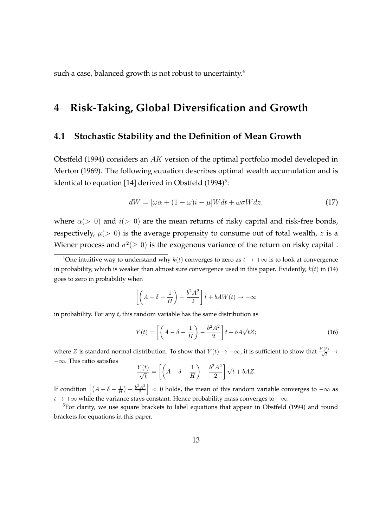such a case, balanced growth is not robust to uncertainty.<sup>4</sup>

## **4 Risk-Taking, Global Diversification and Growth**

#### **4.1 Stochastic Stability and the Definition of Mean Growth**

Obstfeld (1994) considers an *AK* version of the optimal portfolio model developed in Merton (1969). The following equation describes optimal wealth accumulation and is identical to equation [14] derived in Obstfeld  $(1994)^5$ :

$$
dW = [\omega \alpha + (1 - \omega)i - \mu]Wdt + \omega \sigma Wdz,
$$
\n(17)

where  $\alpha$ ( $>$  0) and  $i$ ( $>$  0) are the mean returns of risky capital and risk-free bonds, respectively,  $\mu$ (> 0) is the average propensity to consume out of total wealth, *z* is a Wiener process and  $\sigma^2 (\geq 0)$  is the exogenous variance of the return on risky capital .

$$
\left[ \left( A - \delta - \frac{1}{H} \right) - \frac{b^2 A^2}{2} \right] t + bAW(t) \to -\infty
$$

in probability. For any *t*, this random variable has the same distribution as

$$
Y(t) = \left[ \left( A - \delta - \frac{1}{H} \right) - \frac{b^2 A^2}{2} \right] t + bA\sqrt{t}Z; \tag{16}
$$

where *Z* is standard normal distribution. To show that  $Y(t) \to -\infty$ , it is sufficient to show that  $\frac{Y(t)}{\sqrt{t}} \to$ *−∞*. This ratio satisfies

$$
\frac{Y(t)}{\sqrt{t}} = \left[ \left( A - \delta - \frac{1}{H} \right) - \frac{b^2 A^2}{2} \right] \sqrt{t} + bA Z.
$$

If condition  $\left[ (A - \delta - \frac{1}{H}) - \frac{b^2 A^2}{2} \right]$ 2 ] *<* 0 holds, the mean of this random variable converges to *−∞* as *t →* +*∞* while the variance stays constant. Hence probability mass converges to *−∞*.

<sup>5</sup>For clarity, we use square brackets to label equations that appear in Obstfeld (1994) and round brackets for equations in this paper.

<sup>&</sup>lt;sup>4</sup>One intuitive way to understand why  $k(t)$  converges to zero as  $t \to +\infty$  is to look at convergence in probability, which is weaker than almost sure convergence used in this paper. Evidently, *k*(*t*) in (14) goes to zero in probability when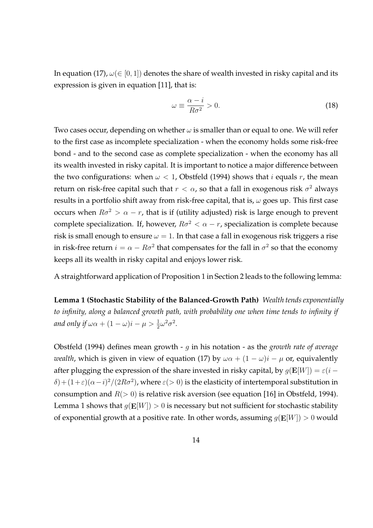In equation (17),  $\omega \in [0, 1]$ ) denotes the share of wealth invested in risky capital and its expression is given in equation [11], that is:

$$
\omega \equiv \frac{\alpha - i}{R\sigma^2} > 0. \tag{18}
$$

Two cases occur, depending on whether *ω* is smaller than or equal to one. We will refer to the first case as incomplete specialization - when the economy holds some risk-free bond - and to the second case as complete specialization - when the economy has all its wealth invested in risky capital. It is important to notice a major difference between the two configurations: when  $\omega$  < 1, Obstfeld (1994) shows that *i* equals *r*, the mean return on risk-free capital such that  $r < \alpha$ , so that a fall in exogenous risk  $\sigma^2$  always results in a portfolio shift away from risk-free capital, that is, *ω* goes up. This first case occurs when  $R\sigma^2 > \alpha - r$ , that is if (utility adjusted) risk is large enough to prevent complete specialization. If, however,  $R\sigma^2 < \alpha - r$ , specialization is complete because risk is small enough to ensure  $\omega = 1$ . In that case a fall in exogenous risk triggers a rise in risk-free return  $i = \alpha - R\sigma^2$  that compensates for the fall in  $\sigma^2$  so that the economy keeps all its wealth in risky capital and enjoys lower risk.

A straightforward application of Proposition 1 in Section 2 leads to the following lemma:

**Lemma 1 (Stochastic Stability of the Balanced-Growth Path)** *Wealth tends exponentially to infinity, along a balanced growth path, with probability one when time tends to infinity if and only if*  $\omega \alpha + (1 - \omega)i - \mu > \frac{1}{2}\omega^2 \sigma^2$ .

Obstfeld (1994) defines mean growth - *g* in his notation - as the *growth rate of average wealth*, which is given in view of equation (17) by  $\omega \alpha + (1 - \omega)i - \mu$  or, equivalently after plugging the expression of the share invested in risky capital, by  $g(\mathbf{E}[W]) = \varepsilon(i - \mathbf{E}[W])$  $\delta$ ) +  $(1+\varepsilon)(\alpha-i)^2/(2R\sigma^2)$ , where  $\varepsilon$ (> 0) is the elasticity of intertemporal substitution in consumption and *R*(*>* 0) is relative risk aversion (see equation [16] in Obstfeld, 1994). Lemma 1 shows that  $g(\mathbf{E}[W]) > 0$  is necessary but not sufficient for stochastic stability of exponential growth at a positive rate. In other words, assuming *g*(**E**[*W*]) *>* 0 would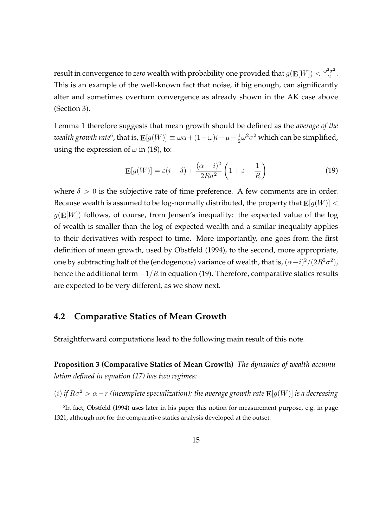result in convergence to *zero* wealth with probability one provided that  $g(\mathbf{E}[W]) < \frac{\omega^2 \sigma^2}{2}$  $rac{\sigma^2}{2}$ . This is an example of the well-known fact that noise, if big enough, can significantly alter and sometimes overturn convergence as already shown in the AK case above (Section 3).

Lemma 1 therefore suggests that mean growth should be defined as the *average of the*  $\alpha$  *wealth growth rate*<sup>6</sup>, that is,  $\mathbf{E}[g(W)] \equiv \omega \alpha + (1-\omega)i - \mu - \frac{1}{2}$  $\frac{1}{2}\omega^2\sigma^2$  which can be simplified, using the expression of  $\omega$  in (18), to:

$$
\mathbf{E}[g(W)] = \varepsilon(i-\delta) + \frac{(\alpha - i)^2}{2R\sigma^2} \left(1 + \varepsilon - \frac{1}{R}\right)
$$
(19)

where  $\delta > 0$  is the subjective rate of time preference. A few comments are in order. Because wealth is assumed to be log-normally distributed, the property that  $\mathbf{E}[g(W)] <$  $g(\mathbf{E}[W])$  follows, of course, from Jensen's inequality: the expected value of the log of wealth is smaller than the log of expected wealth and a similar inequality applies to their derivatives with respect to time. More importantly, one goes from the first definition of mean growth, used by Obstfeld (1994), to the second, more appropriate, one by subtracting half of the (endogenous) variance of wealth, that is,  $(\alpha - i)^2/(2R^2\sigma^2)$ , hence the additional term *−*1*/R* in equation (19). Therefore, comparative statics results are expected to be very different, as we show next.

#### **4.2 Comparative Statics of Mean Growth**

Straightforward computations lead to the following main result of this note.

**Proposition 3 (Comparative Statics of Mean Growth)** *The dynamics of wealth accumulation defined in equation (17) has two regimes:*

(*i*) *if*  $R\sigma^2 > \alpha - r$  (incomplete specialization): the average growth rate  $\mathbf{E}[g(W)]$  *is a decreasing* 

<sup>&</sup>lt;sup>6</sup>In fact, Obstfeld (1994) uses later in his paper this notion for measurement purpose, e.g. in page 1321, although not for the comparative statics analysis developed at the outset.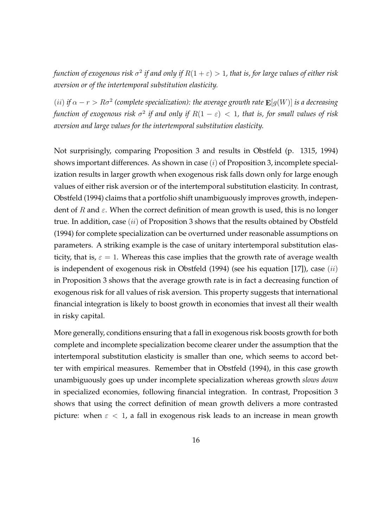function of exogenous risk  $\sigma^2$  if and only if  $R(1+\varepsilon)>1$ , that is, for large values of either risk *aversion or of the intertemporal substitution elasticity.*

 $(iii)$  *if*  $\alpha - r > R\sigma^2$  (complete specialization): the average growth rate  $\mathbf{E}[g(W)]$  *is a decreasing function of exogenous risk σ* 2 *if and only if R*(1 *− ε*) *<* 1*, that is, for small values of risk aversion and large values for the intertemporal substitution elasticity.*

Not surprisingly, comparing Proposition 3 and results in Obstfeld (p. 1315, 1994) shows important differences. As shown in case (*i*) of Proposition 3, incomplete specialization results in larger growth when exogenous risk falls down only for large enough values of either risk aversion or of the intertemporal substitution elasticity. In contrast, Obstfeld (1994) claims that a portfolio shift unambiguously improves growth, independent of *R* and *ε*. When the correct definition of mean growth is used, this is no longer true. In addition, case (*ii*) of Proposition 3 shows that the results obtained by Obstfeld (1994) for complete specialization can be overturned under reasonable assumptions on parameters. A striking example is the case of unitary intertemporal substitution elasticity, that is,  $\varepsilon = 1$ . Whereas this case implies that the growth rate of average wealth is independent of exogenous risk in Obstfeld (1994) (see his equation [17]), case (*ii*) in Proposition 3 shows that the average growth rate is in fact a decreasing function of exogenous risk for all values of risk aversion. This property suggests that international financial integration is likely to boost growth in economies that invest all their wealth in risky capital.

More generally, conditions ensuring that a fall in exogenous risk boosts growth for both complete and incomplete specialization become clearer under the assumption that the intertemporal substitution elasticity is smaller than one, which seems to accord better with empirical measures. Remember that in Obstfeld (1994), in this case growth unambiguously goes up under incomplete specialization whereas growth *slows down* in specialized economies, following financial integration. In contrast, Proposition 3 shows that using the correct definition of mean growth delivers a more contrasted picture: when  $\varepsilon$  < 1, a fall in exogenous risk leads to an increase in mean growth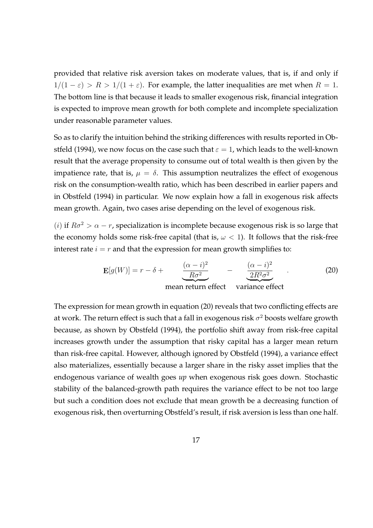provided that relative risk aversion takes on moderate values, that is, if and only if  $1/(1 - \varepsilon) > R > 1/(1 + \varepsilon)$ . For example, the latter inequalities are met when  $R = 1$ . The bottom line is that because it leads to smaller exogenous risk, financial integration is expected to improve mean growth for both complete and incomplete specialization under reasonable parameter values.

So as to clarify the intuition behind the striking differences with results reported in Obstfeld (1994), we now focus on the case such that  $\varepsilon = 1$ , which leads to the well-known result that the average propensity to consume out of total wealth is then given by the impatience rate, that is,  $\mu = \delta$ . This assumption neutralizes the effect of exogenous risk on the consumption-wealth ratio, which has been described in earlier papers and in Obstfeld (1994) in particular. We now explain how a fall in exogenous risk affects mean growth. Again, two cases arise depending on the level of exogenous risk.

(*i*) if  $R\sigma^2 > \alpha - r$ , specialization is incomplete because exogenous risk is so large that the economy holds some risk-free capital (that is,  $\omega$  < 1). It follows that the risk-free interest rate  $i = r$  and that the expression for mean growth simplifies to:

$$
\mathbf{E}[g(W)] = r - \delta + \frac{(\alpha - i)^2}{R\sigma^2} - \frac{(\alpha - i)^2}{2R^2\sigma^2}
$$
 (20)  
mean return effect variance effect

The expression for mean growth in equation (20) reveals that two conflicting effects are at work. The return effect is such that a fall in exogenous risk  $\sigma^2$  boosts welfare growth because, as shown by Obstfeld (1994), the portfolio shift away from risk-free capital increases growth under the assumption that risky capital has a larger mean return than risk-free capital. However, although ignored by Obstfeld (1994), a variance effect also materializes, essentially because a larger share in the risky asset implies that the endogenous variance of wealth goes *up* when exogenous risk goes down. Stochastic stability of the balanced-growth path requires the variance effect to be not too large but such a condition does not exclude that mean growth be a decreasing function of exogenous risk, then overturning Obstfeld's result, if risk aversion is less than one half.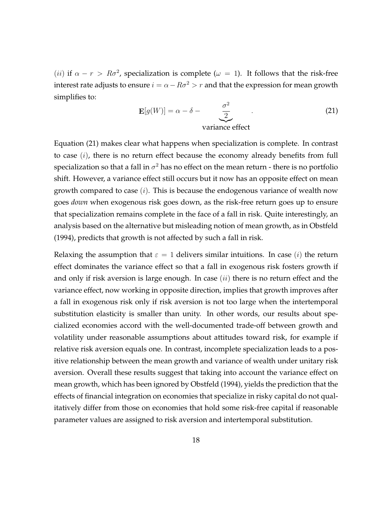(*ii*) if  $\alpha - r > R\sigma^2$ , specialization is complete ( $\omega = 1$ ). It follows that the risk-free interest rate adjusts to ensure  $i = \alpha - R\sigma^2 > r$  and that the expression for mean growth simplifies to:

$$
\mathbf{E}[g(W)] = \alpha - \delta - \underbrace{\frac{\sigma^2}{2}}_{\text{variance effect}} \tag{21}
$$

Equation (21) makes clear what happens when specialization is complete. In contrast to case (*i*), there is no return effect because the economy already benefits from full specialization so that a fall in  $\sigma^2$  has no effect on the mean return - there is no portfolio shift. However, a variance effect still occurs but it now has an opposite effect on mean growth compared to case (*i*). This is because the endogenous variance of wealth now goes *down* when exogenous risk goes down, as the risk-free return goes up to ensure that specialization remains complete in the face of a fall in risk. Quite interestingly, an analysis based on the alternative but misleading notion of mean growth, as in Obstfeld (1994), predicts that growth is not affected by such a fall in risk.

Relaxing the assumption that  $\varepsilon = 1$  delivers similar intuitions. In case (*i*) the return effect dominates the variance effect so that a fall in exogenous risk fosters growth if and only if risk aversion is large enough. In case (*ii*) there is no return effect and the variance effect, now working in opposite direction, implies that growth improves after a fall in exogenous risk only if risk aversion is not too large when the intertemporal substitution elasticity is smaller than unity. In other words, our results about specialized economies accord with the well-documented trade-off between growth and volatility under reasonable assumptions about attitudes toward risk, for example if relative risk aversion equals one. In contrast, incomplete specialization leads to a positive relationship between the mean growth and variance of wealth under unitary risk aversion. Overall these results suggest that taking into account the variance effect on mean growth, which has been ignored by Obstfeld (1994), yields the prediction that the effects of financial integration on economies that specialize in risky capital do not qualitatively differ from those on economies that hold some risk-free capital if reasonable parameter values are assigned to risk aversion and intertemporal substitution.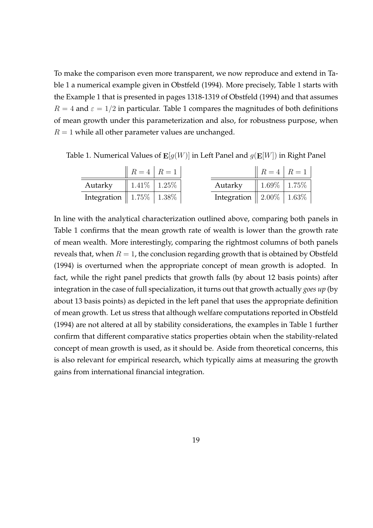To make the comparison even more transparent, we now reproduce and extend in Table 1 a numerical example given in Obstfeld (1994). More precisely, Table 1 starts with the Example 1 that is presented in pages 1318-1319 of Obstfeld (1994) and that assumes  $R = 4$  and  $\varepsilon = 1/2$  in particular. Table 1 compares the magnitudes of both definitions of mean growth under this parameterization and also, for robustness purpose, when  $R = 1$  while all other parameter values are unchanged.

Table 1. Numerical Values of **E**[*g*(*W*)] in Left Panel and *g*(**E**[*W*]) in Right Panel

|                                   | $R = 4   R = 1$     |  |                                                 | $R = 4   R = 1$     |  |
|-----------------------------------|---------------------|--|-------------------------------------------------|---------------------|--|
| Autarky                           | $1.41\%$   $1.25\%$ |  | Autarky                                         | $1.69\%$   $1.75\%$ |  |
| Integration   $1.75\%$   $1.38\%$ |                     |  | Integration $\parallel$ 2.00% $\parallel$ 1.63% |                     |  |

In line with the analytical characterization outlined above, comparing both panels in Table 1 confirms that the mean growth rate of wealth is lower than the growth rate of mean wealth. More interestingly, comparing the rightmost columns of both panels reveals that, when  $R = 1$ , the conclusion regarding growth that is obtained by Obstfeld (1994) is overturned when the appropriate concept of mean growth is adopted. In fact, while the right panel predicts that growth falls (by about 12 basis points) after integration in the case of full specialization, it turns out that growth actually *goes up* (by about 13 basis points) as depicted in the left panel that uses the appropriate definition of mean growth. Let us stress that although welfare computations reported in Obstfeld (1994) are not altered at all by stability considerations, the examples in Table 1 further confirm that different comparative statics properties obtain when the stability-related concept of mean growth is used, as it should be. Aside from theoretical concerns, this is also relevant for empirical research, which typically aims at measuring the growth gains from international financial integration.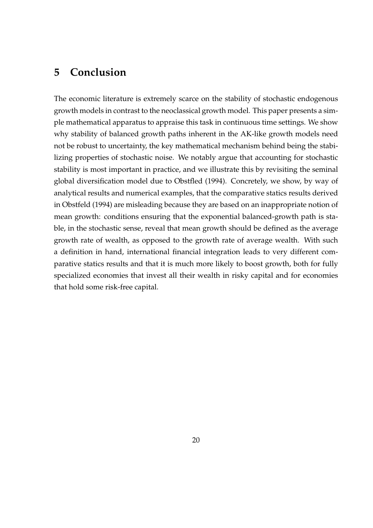### **5 Conclusion**

The economic literature is extremely scarce on the stability of stochastic endogenous growth models in contrast to the neoclassical growth model. This paper presents a simple mathematical apparatus to appraise this task in continuous time settings. We show why stability of balanced growth paths inherent in the AK-like growth models need not be robust to uncertainty, the key mathematical mechanism behind being the stabilizing properties of stochastic noise. We notably argue that accounting for stochastic stability is most important in practice, and we illustrate this by revisiting the seminal global diversification model due to Obstfled (1994). Concretely, we show, by way of analytical results and numerical examples, that the comparative statics results derived in Obstfeld (1994) are misleading because they are based on an inappropriate notion of mean growth: conditions ensuring that the exponential balanced-growth path is stable, in the stochastic sense, reveal that mean growth should be defined as the average growth rate of wealth, as opposed to the growth rate of average wealth. With such a definition in hand, international financial integration leads to very different comparative statics results and that it is much more likely to boost growth, both for fully specialized economies that invest all their wealth in risky capital and for economies that hold some risk-free capital.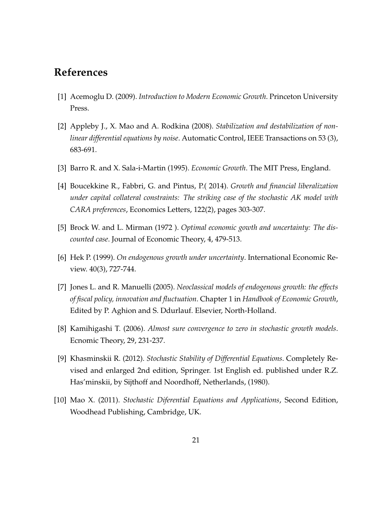## **References**

- [1] Acemoglu D. (2009). *Introduction to Modern Economic Growth*. Princeton University Press.
- [2] Appleby J., X. Mao and A. Rodkina (2008). *Stabilization and destabilization of nonlinear differential equations by noise*. Automatic Control, IEEE Transactions on 53 (3), 683-691.
- [3] Barro R. and X. Sala-i-Martin (1995). *Economic Growth*. The MIT Press, England.
- [4] Boucekkine R., Fabbri, G. and Pintus, P.( 2014). *Growth and financial liberalization under capital collateral constraints: The striking case of the stochastic AK model with CARA preferences*, Economics Letters, 122(2), pages 303-307.
- [5] Brock W. and L. Mirman (1972 ). *Optimal economic gowth and uncertainty: The discounted case*. Journal of Economic Theory, 4, 479-513.
- [6] Hek P. (1999). *On endogenous growth under uncertainty*. International Economic Review. 40(3), 727-744.
- [7] Jones L. and R. Manuelli (2005). *Neoclassical models of endogenous growth: the effects of fiscal policy, innovation and fluctuation*. Chapter 1 in *Handbook of Economic Growth*, Edited by P. Aghion and S. Ddurlauf. Elsevier, North-Holland.
- [8] Kamihigashi T. (2006). *Almost sure convergence to zero in stochastic growth models*. Ecnomic Theory, 29, 231-237.
- [9] Khasminskii R. (2012). *Stochastic Stability of Differential Equations*. Completely Revised and enlarged 2nd edition, Springer. 1st English ed. published under R.Z. Has'minskii, by Sijthoff and Noordhoff, Netherlands, (1980).
- [10] Mao X. (2011). *Stochastic Diferential Equations and Applications*, Second Edition, Woodhead Publishing, Cambridge, UK.